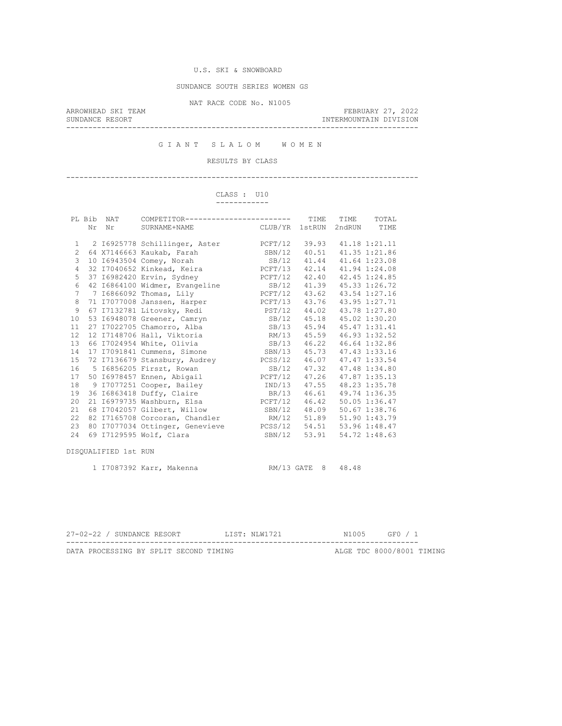SUNDANCE SOUTH SERIES WOMEN GS

NAT RACE CODE No. N1005

ARROWHEAD SKI TEAM FEBRUARY 27, 2022 SUNDANCE RESORT INTERMOUNTAIN DIVISION --------------------------------------------------------------------------------

G I A N T S L A L O M W O M E N

RESULTS BY CLASS

--------------------------------------------------------------------------------

#### CLASS : U10 ------------

|                 | PL Bib | NAT                  | COMPETITOR------------------------                      |               | TIME               | TIME   | TOTAL         |
|-----------------|--------|----------------------|---------------------------------------------------------|---------------|--------------------|--------|---------------|
|                 | Nr     | Nr                   | SURNAME+NAME                                            | CLUB/YR       | 1stRUN             | 2ndRUN | TIME          |
|                 |        |                      |                                                         |               |                    |        |               |
| $\mathbf{1}$    |        |                      | 2 16925778 Schillinger, Aster                           | PCFT/12       | 39.93              |        | 41.18 1:21.11 |
| $\overline{2}$  |        |                      | 64 X7146663 Kaukab, Farah                               | SBN/12        | 40.51              |        | 41.35 1:21.86 |
| 3               |        |                      | 10 16943504 Comey, Norah                                | SB/12 41.44   |                    |        | 41.64 1:23.08 |
| $\overline{4}$  |        |                      | 32 I7040652 Kinkead, Keira (2007) PCFT/13 42.14         |               |                    |        | 41.94 1:24.08 |
| 5               |        |                      | 37 16982420 Ervin, Sydney                               | PCFT/12 42.40 |                    |        | 42.45 1:24.85 |
| $\epsilon$      |        |                      | 42 I6864100 Widmer, Evangeline                          | SB/12         | 41.39              |        | 45.33 1:26.72 |
| $7\phantom{.0}$ |        |                      | 7 16866092 Thomas, Lily                                 | PCFT/12       | 43.62              |        | 43.54 1:27.16 |
| 8               |        |                      | 71 I7077008 Janssen, Harper PCFT/13 43.76 43.95 1:27.71 |               |                    |        |               |
| $\overline{9}$  |        |                      | 67 I7132781 Litovsky, Redi                              | PST/12 44.02  |                    |        | 43.78 1:27.80 |
| 10              |        |                      | 53 I6948078 Greener, Camryn                             | SB/12         | 45.18              |        | 45.02 1:30.20 |
| 11              |        |                      | 27 I7022705 Chamorro, Alba                              | SB/13         | 45.94              |        | 45.47 1:31.41 |
| 12              |        |                      | 12 I7148706 Hall, Viktoria                              | RM/13         | 45.59              |        | 46.93 1:32.52 |
| 13              |        |                      | 66 I7024954 White, Olivia                               | SB/13 46.22   |                    |        | 46.64 1:32.86 |
| 14              |        |                      | 17 I7091841 Cummens, Simone                             | SBN/13 45.73  |                    |        | 47.43 1:33.16 |
| 15              |        |                      | 72 I7136679 Stansbury, Audrey                           | PCSS/12       | 46.07              |        | 47.47 1:33.54 |
| 16              |        |                      | 5 16856205 Firszt, Rowan                                | SB/12         | 47.32              |        | 47.48 1:34.80 |
| 17              |        |                      | 50 16978457 Ennen, Abigail                              | PCFT/12 47.26 |                    |        | 47.87 1:35.13 |
| 18              |        |                      | 9 I7077251 Cooper, Bailey<br>IND/13 47.55               |               |                    |        | 48.23 1:35.78 |
| 19              |        |                      | 36 16863418 Duffy, Claire                               |               | BR/13 46.61        |        | 49.74 1:36.35 |
| 20              |        |                      | 21 I6979735 Washburn, Elsa                              | PCFT/12       | 46.42              |        | 50.05 1:36.47 |
| 21              |        |                      | 68 I7042057 Gilbert, Willow                             | SBN/12        | 48.09              |        | 50.67 1:38.76 |
| 22              |        |                      | 82 I7165708 Corcoran, Chandler                          | RM/12 51.89   |                    |        | 51.90 1:43.79 |
| 23              |        |                      | 80 I7077034 Ottinger, Genevieve PCSS/12 54.51           |               |                    |        | 53.96 1:48.47 |
| 2.4             |        |                      | 69 I7129595 Wolf, Clara                                 | SBN/12        | 53.91              |        | 54.72 1:48.63 |
|                 |        |                      |                                                         |               |                    |        |               |
|                 |        | DISQUALIFIED 1st RUN |                                                         |               |                    |        |               |
|                 |        |                      |                                                         |               |                    |        |               |
|                 |        |                      | 1 I7087392 Karr, Makenna                                |               | RM/13 GATE 8 48.48 |        |               |

| 27-02-22 / SUNDANCE RESORT |  |                                        |  | ITST: NIW1721 |  | N1005 GF0 / 1             |  |
|----------------------------|--|----------------------------------------|--|---------------|--|---------------------------|--|
|                            |  | DATA PROCESSING BY SPLIT SECOND TIMING |  |               |  | ALGE TDC 8000/8001 TIMING |  |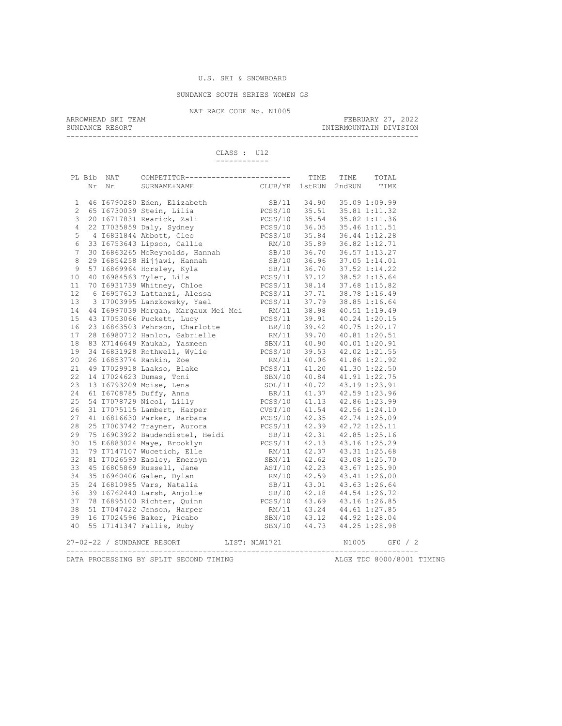## U.S. SKI & SNOWBOARD

SUNDANCE SOUTH SERIES WOMEN GS

NAT RACE CODE No. N1005<br>ARROWHEAD SKI TEAM

ARROWHEAD SKI TEAM FEBRUARY 27, 2022 SUNDANCE RESORT **INTERMOUNTAIN DIVISION** 

--------------------------------------------------------------------------------

 CLASS : U12 ------------

|                | PL Bib | NAT | COMPETITOR------------------------ TIME TIME                                                                                                                                                                                                 |                                                          |                            |       | TOTAL |           |
|----------------|--------|-----|----------------------------------------------------------------------------------------------------------------------------------------------------------------------------------------------------------------------------------------------|----------------------------------------------------------|----------------------------|-------|-------|-----------|
|                | Nr     | Nr  | SURNAME+NAME CLUB/YR 1stRUN 2ndRUN TIME                                                                                                                                                                                                      |                                                          |                            |       |       |           |
|                |        |     |                                                                                                                                                                                                                                              |                                                          |                            |       |       |           |
| $\mathbf{1}$   |        |     | 46 16790280 Eden, Elizabeth (1988/11 34.90 35.09 1:09.99<br>65 16730039 Stein, Lilia (1995) PCSS/10 35.51 35.81 1:11.32<br>20 16717831 Rearick, Zali (1995) PCSS/10 35.54 35.82 1:11.36                                                      |                                                          |                            |       |       |           |
| $\mathbf{2}$   |        |     |                                                                                                                                                                                                                                              |                                                          |                            |       |       |           |
| 3              |        |     |                                                                                                                                                                                                                                              |                                                          |                            |       |       |           |
| $\sqrt{4}$     |        |     | 22 I7035859 Daly, Sydney PCSS/10 36.05 35.46 1:11.51                                                                                                                                                                                         |                                                          |                            |       |       |           |
| 5              |        |     | 4 16831844 Abbott, Cleo<br>33 16753643 Lipson, Callie<br>RM/10 35.89 36.82 1:12.71                                                                                                                                                           |                                                          |                            |       |       |           |
| $\epsilon$     |        |     |                                                                                                                                                                                                                                              |                                                          |                            |       |       |           |
| $\overline{7}$ |        |     | 30 16863265 McReynolds, Hannah SB/10 36.70 36.57 1:13.27                                                                                                                                                                                     |                                                          |                            |       |       |           |
| $\,8\,$        |        |     | 29 16854258 Hijjawi, Hannah 57 16869964 Horsley, Kyla 58/10 36.96 37.05 1:14.01<br>57 16869964 Horsley, Kyla 58/11 36.70 37.52 1:14.22<br>40 16984563 Tyler, Lila PCSS/11 37.12 38.52 1:15.64<br>70 16931739 Whitney, Chloe PCSS/11          |                                                          |                            |       |       |           |
| $\mathsf 9$    |        |     |                                                                                                                                                                                                                                              |                                                          |                            |       |       |           |
| $10$           |        |     |                                                                                                                                                                                                                                              |                                                          |                            |       |       |           |
| 11             |        |     |                                                                                                                                                                                                                                              |                                                          |                            |       |       |           |
| 12             |        |     |                                                                                                                                                                                                                                              |                                                          |                            |       |       |           |
| 13             |        |     |                                                                                                                                                                                                                                              |                                                          |                            |       |       |           |
| 14             |        |     |                                                                                                                                                                                                                                              |                                                          |                            |       |       |           |
| 15             |        |     |                                                                                                                                                                                                                                              |                                                          |                            |       |       |           |
| 16             |        |     |                                                                                                                                                                                                                                              |                                                          |                            |       |       |           |
| 17             |        |     |                                                                                                                                                                                                                                              |                                                          |                            |       |       |           |
| $18\,$         |        |     |                                                                                                                                                                                                                                              |                                                          |                            |       |       |           |
| 19             |        |     |                                                                                                                                                                                                                                              |                                                          |                            |       |       |           |
| 20             |        |     |                                                                                                                                                                                                                                              |                                                          |                            |       |       |           |
| 21             |        |     | 6 1695/613 Lattanz1, Alessa<br>8 17003995 Lanzkowsky, Yael<br>8 17003995 Lanzkowsky, Yael<br>8 1705396 Morgan, Margaux Mei Mei RM/11<br>8 18863503 Pehrson, Charlotte BR/10<br>8 11:19.49<br>8 17053066 Puckett, Lucy<br>8 16863503 Pehrson, |                                                          |                            |       |       |           |
| 22             |        |     |                                                                                                                                                                                                                                              |                                                          |                            |       |       |           |
| 23             |        |     |                                                                                                                                                                                                                                              |                                                          |                            |       |       |           |
| 24             |        |     |                                                                                                                                                                                                                                              |                                                          |                            |       |       |           |
| 25             |        |     | 61 I6708785 Duffy, Anna<br>54 I7078729 Nicol, Lilly                                                                                                                                                                                          | BR/11 41.37 42.59 1:23.96<br>PCSS/10 41.13 42.86 1:23.99 |                            |       |       |           |
| 26             |        |     | 31 I7075115 Lambert, Harper CVST/10 41.54 42.56 1:24.10                                                                                                                                                                                      |                                                          |                            |       |       |           |
| 27             |        |     | 41 16816630 Parker, Barbara<br>25 17003742 Trayner, Aurora<br>25 17003742 Trayner, Aurora<br>25 17003742 Trayner, Aurora<br>25 17003742 Trayner, Aurora<br>25 17003742 Trayner, Aurora<br>25 17003742 Trayner, Aurora<br>25 17003742 Trayner |                                                          |                            |       |       |           |
| 28             |        |     |                                                                                                                                                                                                                                              |                                                          |                            |       |       |           |
| 29             |        |     |                                                                                                                                                                                                                                              |                                                          |                            |       |       |           |
| 30             |        |     |                                                                                                                                                                                                                                              |                                                          |                            |       |       |           |
| 31             |        |     |                                                                                                                                                                                                                                              |                                                          |                            |       |       |           |
| 32             |        |     |                                                                                                                                                                                                                                              |                                                          |                            |       |       |           |
| 33             |        |     | 81 I7026593 Easley, Emersyn<br>45 I6805869 Russell, Jane<br>35 I6960406 Galen, Dylan                                                                                                                                                         | SBN/11 42.62 43.08 1:25.70<br>AST/10 42.23 43.67 1:25.90 |                            |       |       |           |
| 34             |        |     |                                                                                                                                                                                                                                              | RM/10 42.59 43.41 1:26.00                                |                            |       |       |           |
| 35             |        |     |                                                                                                                                                                                                                                              |                                                          |                            |       |       |           |
| 36             |        |     | 24 16810985 Vars, Natalia (1988)<br>24 16810985 Vars, Natalia (1988)<br>39 16762440 Larsh, Anjolie (1988)<br>28 16895100 Richter, Quinn (1988)<br>28 16895100 Richter, Quinn (1988)<br>28 1681 1127 95                                       |                                                          |                            |       |       |           |
| 37             |        |     |                                                                                                                                                                                                                                              |                                                          |                            |       |       |           |
| 38             |        |     |                                                                                                                                                                                                                                              |                                                          |                            |       |       |           |
| 39             |        |     | 51 17047422 Jenson, Harper RM/11 43.24 44.61 1:27.85<br>16 17024596 Baker, Picabo SBN/10 43.12 44.92 1:28.04                                                                                                                                 |                                                          |                            |       |       |           |
| 40             |        |     | 55 I7141347 Fallis, Ruby                                                                                                                                                                                                                     |                                                          | SBN/10 44.73 44.25 1:28.98 |       |       |           |
|                |        |     |                                                                                                                                                                                                                                              |                                                          |                            |       |       |           |
|                |        |     | 27-02-22 / SUNDANCE RESORT                                                                                                                                                                                                                   | LIST: NLW1721                                            |                            | N1005 |       | $GFO$ / 2 |
|                |        |     |                                                                                                                                                                                                                                              |                                                          |                            |       |       |           |
|                |        |     |                                                                                                                                                                                                                                              |                                                          |                            |       |       |           |

DATA PROCESSING BY SPLIT SECOND TIMING **ALGE TDC 8000/8001 TIMING**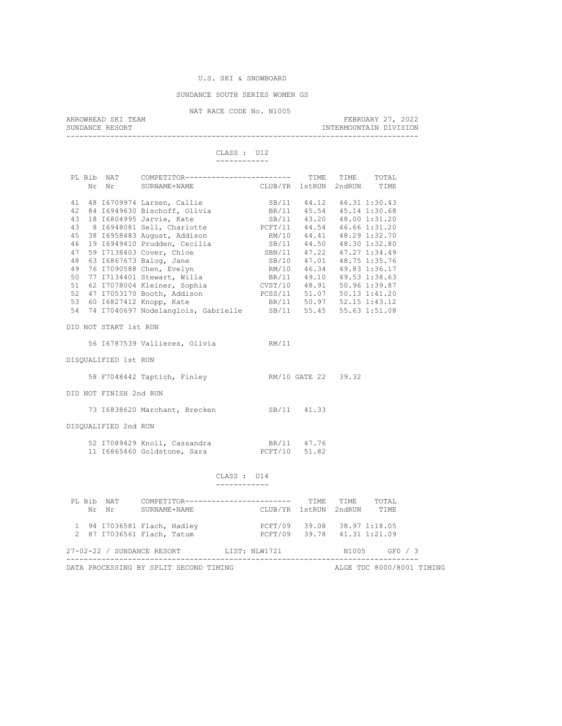#### U.S. SKI & SNOWBOARD

#### SUNDANCE SOUTH SERIES WOMEN GS

NAT RACE CODE No. N1005 ARROWHEAD SKI TEAM FEBRUARY 27, 2022 INTERMOUNTAIN DIVISION --------------------------------------------------------------------------------

CLASS : U12

 ------------ PL Bib NAT COMPETITOR------------------------- TIME TIME TOTAL<br>Nr Nr SURNAME+NAME CLUB/YR 1stRUN 2ndRUN TIME 41 48 I6709974 Larsen, Callie SB/11 44.12 46.31 1:30.43<br>
42 84 I6949630 Bischoff, Olivia BR/11 45.54 45.14 1:30.68<br>
43 18 I6804995 Jarvie, Kate SB/11 43.20 48.00 1:31.20<br>
43 8 I6948081 Sell, Charlotte PCFT/11 44.54 46.66 1 42 84 I6949630 Bischoff, Olivia 43 18 I6804995 Jarvie, Kate SB/11 43.20 48.00 1:31.20 43 8 I6948081 Sell, Charlotte PCFT/11 44.54 46.66 1:31.20 45 38 I6958483 August, Addison RM/10 44.41 48.29 1:32.70 46 19 16949410 Prudden, Cecilia (SB/11 44.50 48.30 1:32.80<br>47 59 17138403 Cover, Chloe (SBN/11 47.22 47.27 1:34.49<br>48 63 16867673 Balog, Jane (SB/10 47.01 48.75 1:35.76 47 59 I7138403 Cover, Chloe SBN/11 47.22 47.27 1:34.49 48 63 I6867673 Balog, Jane SB/10 47.01 48.75 1:35.76 49 76 I7090588 Chen, Evelyn RM/10 46.34 49.83 1:36.17 50 77 I7134401 Stewart, Willa BR/11 49.10 49.53 1:38.63 51 62 I7078004 Kleiner, Sophia CVST/10 48.91 50.96 1:39.87 52 47 I7053170 Booth, Addison PCSS/11 51.07 50.13 1:41.20 53 60 I6827412 Knopp, Kate BR/11 50.97 52.15 1:43.12 54 74 I7040697 Nodelanglois, Gabrielle SB/11 55.45 55.63 1:51.08 DID NOT START 1st RUN 56 I6787539 Vallieres, Olivia RM/11 DISQUALIFIED 1st RUN 58 F7048442 Taptich, Finley RM/10 GATE 22 39.32 DID NOT FINISH 2nd RUN 73 I6838620 Marchant, Brecken SB/11 41.33 DISQUALIFIED 2nd RUN 52 I7089429 Knoll, Cassandra BR/11 47.76 11 I6865460 Goldstone, Sara PCFT/10 51.82 CLASS : U14 ------------ PL Bib NAT COMPETITOR------------------------ TIME TIME TOTAL

|  | Nr Nr SURNAME+NAME                                        | OUTL LEE LUIN |                                          | CLUB/YR 1stRUN 2ndRUN TIME                                 | .     | .                         |  |
|--|-----------------------------------------------------------|---------------|------------------------------------------|------------------------------------------------------------|-------|---------------------------|--|
|  | 1 94 17036581 Flach, Hadley<br>2 87 17036561 Flach, Tatum |               |                                          | PCFT/09 39.08 38.97 1:18.05<br>PCFT/09 39.78 41.31 1:21.09 |       |                           |  |
|  |                                                           |               | 27-02-22 / SUNDANCE RESORT LIST: NLW1721 |                                                            | N1005 | GF0 / 3                   |  |
|  | DATA PROCESSING BY SPLIT SECOND TIMING                    |               |                                          |                                                            |       | ALGE TDC 8000/8001 TIMING |  |